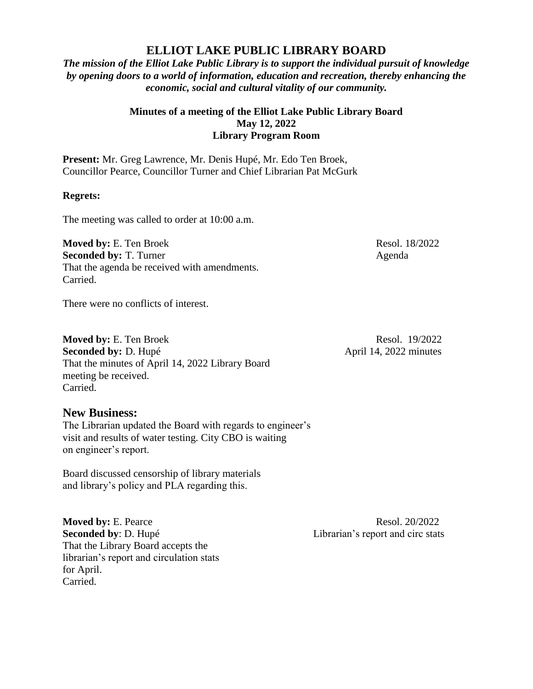## **ELLIOT LAKE PUBLIC LIBRARY BOARD**

*The mission of the Elliot Lake Public Library is to support the individual pursuit of knowledge by opening doors to a world of information, education and recreation, thereby enhancing the economic, social and cultural vitality of our community.*

## **Minutes of a meeting of the Elliot Lake Public Library Board May 12, 2022 Library Program Room**

**Present:** Mr. Greg Lawrence, Mr. Denis Hupé, Mr. Edo Ten Broek, Councillor Pearce, Councillor Turner and Chief Librarian Pat McGurk

## **Regrets:**

The meeting was called to order at 10:00 a.m.

**Moved by:** E. Ten Broek Resol. 18/2022 **Seconded by:** T. Turner Agenda That the agenda be received with amendments. Carried.

There were no conflicts of interest.

**Moved by:** E. Ten Broek Resol. 19/2022 **Seconded by:** D. Hupé April 14, 2022 minutes That the minutes of April 14, 2022 Library Board meeting be received. Carried.

## **New Business:**

The Librarian updated the Board with regards to engineer's visit and results of water testing. City CBO is waiting on engineer's report.

Board discussed censorship of library materials and library's policy and PLA regarding this.

**Moved by:** E. Pearce Resol. 20/2022 **Seconded by**: D. Hupé Librarian's report and circ stats That the Library Board accepts the librarian's report and circulation stats for April. Carried.